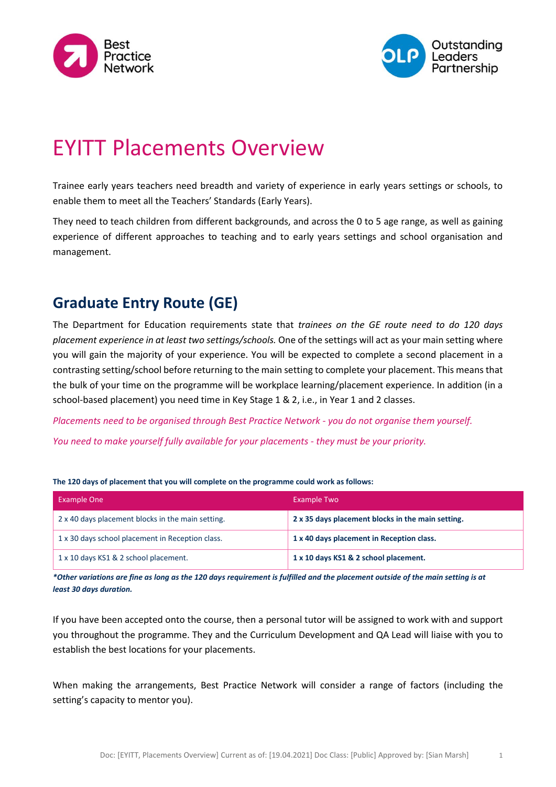



# EYITT Placements Overview

Trainee early years teachers need breadth and variety of experience in early years settings or schools, to enable them to meet all the Teachers' Standards (Early Years).

They need to teach children from different backgrounds, and across the 0 to 5 age range, as well as gaining experience of different approaches to teaching and to early years settings and school organisation and management.

## **Graduate Entry Route (GE)**

The Department for Education requirements state that *trainees on the GE route need to do 120 days placement experience in at least two settings/schools.* One of the settings will act as your main setting where you will gain the majority of your experience. You will be expected to complete a second placement in a contrasting setting/school before returning to the main setting to complete your placement. This means that the bulk of your time on the programme will be workplace learning/placement experience. In addition (in a school-based placement) you need time in Key Stage 1 & 2, i.e., in Year 1 and 2 classes.

*Placements need to be organised through Best Practice Network - you do not organise them yourself.*

*You need to make yourself fully available for your placements - they must be your priority.*

#### **The 120 days of placement that you will complete on the programme could work as follows:**

| <b>Example One</b>                                | Example Two                                       |
|---------------------------------------------------|---------------------------------------------------|
| 2 x 40 days placement blocks in the main setting. | 2 x 35 days placement blocks in the main setting. |
| 1 x 30 days school placement in Reception class.  | 1 x 40 days placement in Reception class.         |
| 1 x 10 days KS1 & 2 school placement.             | 1 x 10 days KS1 & 2 school placement.             |

*\*Other variations are fine as long as the 120 days requirement is fulfilled and the placement outside of the main setting is at least 30 days duration.*

If you have been accepted onto the course, then a personal tutor will be assigned to work with and support you throughout the programme. They and the Curriculum Development and QA Lead will liaise with you to establish the best locations for your placements.

When making the arrangements, Best Practice Network will consider a range of factors (including the setting's capacity to mentor you).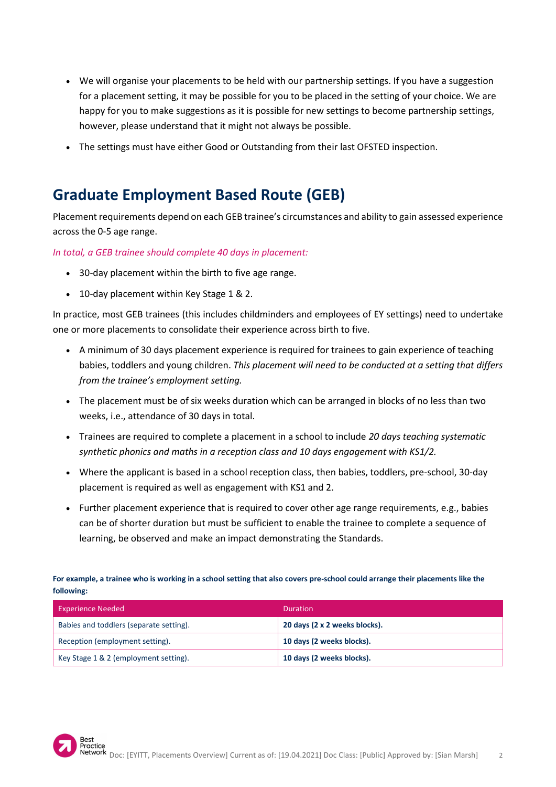- We will organise your placements to be held with our partnership settings. If you have a suggestion for a placement setting, it may be possible for you to be placed in the setting of your choice. We are happy for you to make suggestions as it is possible for new settings to become partnership settings, however, please understand that it might not always be possible.
- The settings must have either Good or Outstanding from their last OFSTED inspection.

### **Graduate Employment Based Route (GEB)**

Placement requirements depend on each GEB trainee's circumstances and ability to gain assessed experience across the 0-5 age range.

*In total, a GEB trainee should complete 40 days in placement:*

- 30-day placement within the birth to five age range.
- 10-day placement within Key Stage 1 & 2.

In practice, most GEB trainees (this includes childminders and employees of EY settings) need to undertake one or more placements to consolidate their experience across birth to five.

- A minimum of 30 days placement experience is required for trainees to gain experience of teaching babies, toddlers and young children. *This placement will need to be conducted at a setting that differs from the trainee's employment setting.*
- The placement must be of six weeks duration which can be arranged in blocks of no less than two weeks, i.e., attendance of 30 days in total.
- Trainees are required to complete a placement in a school to include *20 days teaching systematic synthetic phonics and maths in a reception class and 10 days engagement with KS1/2.*
- Where the applicant is based in a school reception class, then babies, toddlers, pre-school, 30-day placement is required as well as engagement with KS1 and 2.
- Further placement experience that is required to cover other age range requirements, e.g., babies can be of shorter duration but must be sufficient to enable the trainee to complete a sequence of learning, be observed and make an impact demonstrating the Standards.

**For example, a trainee who is working in a school setting that also covers pre-school could arrange their placements like the following:**

| <b>Experience Needed</b>                | Duration                      |
|-----------------------------------------|-------------------------------|
| Babies and toddlers (separate setting). | 20 days (2 x 2 weeks blocks). |
| Reception (employment setting).         | 10 days (2 weeks blocks).     |
| Key Stage 1 & 2 (employment setting).   | 10 days (2 weeks blocks).     |